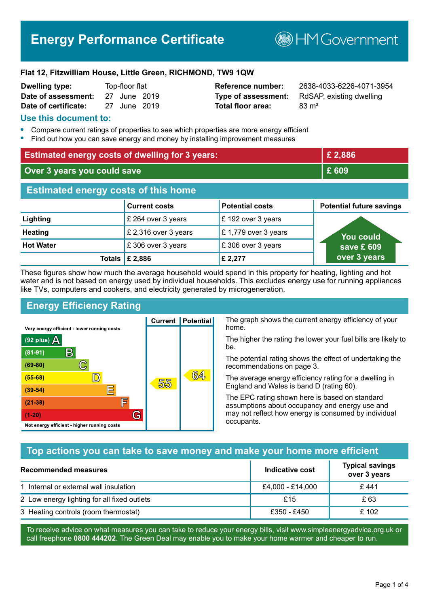# **Energy Performance Certificate**

**B**HMGovernment

#### **Flat 12, Fitzwilliam House, Little Green, RICHMOND, TW9 1QW**

| <b>Dwelling type:</b> | Top-floor flat |  |
|-----------------------|----------------|--|
| Date of assessment:   | 27 June 2019   |  |
| Date of certificate:  | 27 June 2019   |  |

# **Total floor area:** 83 m<sup>2</sup>

**Reference number:** 2638-4033-6226-4071-3954 **Type of assessment:** RdSAP, existing dwelling

#### **Use this document to:**

- **•** Compare current ratings of properties to see which properties are more energy efficient
- **•** Find out how you can save energy and money by installing improvement measures

| <b>Estimated energy costs of dwelling for 3 years:</b> |                           | £2,886                 |                                 |
|--------------------------------------------------------|---------------------------|------------------------|---------------------------------|
| Over 3 years you could save                            |                           | £ 609                  |                                 |
| <b>Estimated energy costs of this home</b>             |                           |                        |                                 |
|                                                        | <b>Current costs</b>      | <b>Potential costs</b> | <b>Potential future savings</b> |
| Lighting                                               | £ 264 over 3 years        | £192 over 3 years      |                                 |
| <b>Heating</b>                                         | £ 2,316 over 3 years      | £1,779 over 3 years    | <b>You could</b>                |
| <b>Hot Water</b>                                       | £306 over 3 years         | £306 over 3 years      | save £ 609                      |
|                                                        | Totals $\mathsf{E}$ 2,886 | £ 2,277                | over 3 years                    |

These figures show how much the average household would spend in this property for heating, lighting and hot water and is not based on energy used by individual households. This excludes energy use for running appliances like TVs, computers and cookers, and electricity generated by microgeneration.

**Current | Potential** 

55

# **Energy Efficiency Rating**

 $\mathbb{C}$ 

 $\mathbb{D}$ 

巨

庐

G

Very energy efficient - lower running costs

R

Not energy efficient - higher running costs

 $(92$  plus)

 $(81 - 91)$ 

 $(69 - 80)$ 

 $(55-68)$ 

 $(39 - 54)$ 

 $(21-38)$ 

 $(1-20)$ 

- 78

The graph shows the current energy efficiency of your home.

The higher the rating the lower your fuel bills are likely to be.

The potential rating shows the effect of undertaking the recommendations on page 3.

The average energy efficiency rating for a dwelling in England and Wales is band D (rating 60).

The EPC rating shown here is based on standard assumptions about occupancy and energy use and may not reflect how energy is consumed by individual occupants.

## **Top actions you can take to save money and make your home more efficient**

64

| Recommended measures                        | Indicative cost  | <b>Typical savings</b><br>over 3 years |
|---------------------------------------------|------------------|----------------------------------------|
| 1 Internal or external wall insulation      | £4,000 - £14,000 | £441                                   |
| 2 Low energy lighting for all fixed outlets | £15              | £ 63                                   |
| 3 Heating controls (room thermostat)        | £350 - £450      | £102                                   |

To receive advice on what measures you can take to reduce your energy bills, visit www.simpleenergyadvice.org.uk or call freephone **0800 444202**. The Green Deal may enable you to make your home warmer and cheaper to run.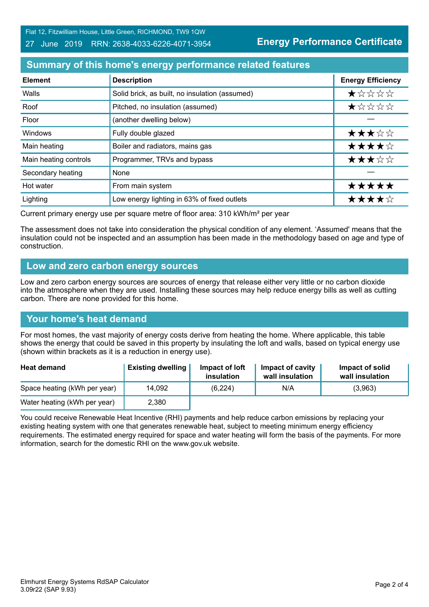Flat 12, Fitzwilliam House, Little Green, RICHMOND, TW9 1QW

#### 27 June 2019 RRN: 2638-4033-6226-4071-3954

**Energy Performance Certificate**

## **Summary of this home's energy performance related features**

| <b>Element</b>        | <b>Description</b>                             | <b>Energy Efficiency</b> |
|-----------------------|------------------------------------------------|--------------------------|
| Walls                 | Solid brick, as built, no insulation (assumed) | *****                    |
| Roof                  | Pitched, no insulation (assumed)               | ★☆☆☆☆                    |
| Floor                 | (another dwelling below)                       |                          |
| Windows               | Fully double glazed                            | ★★★☆☆                    |
| Main heating          | Boiler and radiators, mains gas                | ★★★★☆                    |
| Main heating controls | Programmer, TRVs and bypass                    | ★★★☆☆                    |
| Secondary heating     | None                                           |                          |
| Hot water             | From main system                               | *****                    |
| Lighting              | Low energy lighting in 63% of fixed outlets    | ★★★★☆                    |

Current primary energy use per square metre of floor area: 310 kWh/m² per year

The assessment does not take into consideration the physical condition of any element. 'Assumed' means that the insulation could not be inspected and an assumption has been made in the methodology based on age and type of construction.

#### **Low and zero carbon energy sources**

Low and zero carbon energy sources are sources of energy that release either very little or no carbon dioxide into the atmosphere when they are used. Installing these sources may help reduce energy bills as well as cutting carbon. There are none provided for this home.

## **Your home's heat demand**

For most homes, the vast majority of energy costs derive from heating the home. Where applicable, this table shows the energy that could be saved in this property by insulating the loft and walls, based on typical energy use (shown within brackets as it is a reduction in energy use).

| <b>Heat demand</b>           | <b>Existing dwelling</b> | Impact of loft<br>insulation | Impact of cavity<br>wall insulation | Impact of solid<br>wall insulation |
|------------------------------|--------------------------|------------------------------|-------------------------------------|------------------------------------|
| Space heating (kWh per year) | 14,092                   | (6, 224)                     | N/A                                 | (3,963)                            |
| Water heating (kWh per year) | 2,380                    |                              |                                     |                                    |

You could receive Renewable Heat Incentive (RHI) payments and help reduce carbon emissions by replacing your existing heating system with one that generates renewable heat, subject to meeting minimum energy efficiency requirements. The estimated energy required for space and water heating will form the basis of the payments. For more information, search for the domestic RHI on the www.gov.uk website.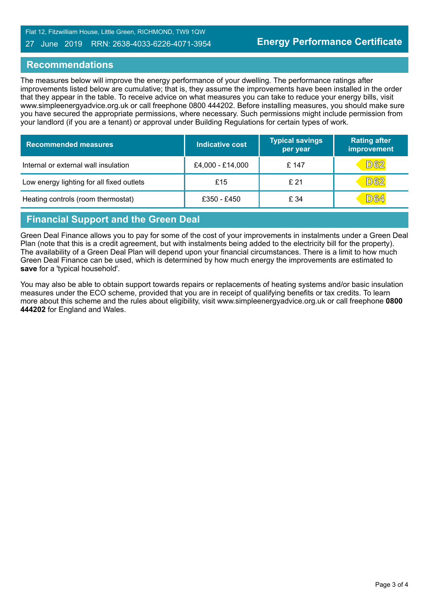Flat 12, Fitzwilliam House, Little Green, RICHMOND, TW9 1QW

#### 27 June 2019 RRN: 2638-4033-6226-4071-3954

#### **Recommendations**

The measures below will improve the energy performance of your dwelling. The performance ratings after improvements listed below are cumulative; that is, they assume the improvements have been installed in the order that they appear in the table. To receive advice on what measures you can take to reduce your energy bills, visit www.simpleenergyadvice.org.uk or call freephone 0800 444202. Before installing measures, you should make sure you have secured the appropriate permissions, where necessary. Such permissions might include permission from your landlord (if you are a tenant) or approval under Building Regulations for certain types of work.

| <b>Recommended measures</b>               | Indicative cost  | <b>Typical savings</b><br>per year | Rating after<br>improvement |
|-------------------------------------------|------------------|------------------------------------|-----------------------------|
| Internal or external wall insulation      | £4,000 - £14,000 | £ 147                              | <b>D62</b>                  |
| Low energy lighting for all fixed outlets | £15              | £21                                | D62                         |
| Heating controls (room thermostat)        | £350 - £450      | £ 34                               | <b>D64</b>                  |

# **Financial Support and the Green Deal**

Green Deal Finance allows you to pay for some of the cost of your improvements in instalments under a Green Deal Plan (note that this is a credit agreement, but with instalments being added to the electricity bill for the property). The availability of a Green Deal Plan will depend upon your financial circumstances. There is a limit to how much Green Deal Finance can be used, which is determined by how much energy the improvements are estimated to **save** for a 'typical household'.

You may also be able to obtain support towards repairs or replacements of heating systems and/or basic insulation measures under the ECO scheme, provided that you are in receipt of qualifying benefits or tax credits. To learn more about this scheme and the rules about eligibility, visit www.simpleenergyadvice.org.uk or call freephone **0800 444202** for England and Wales.